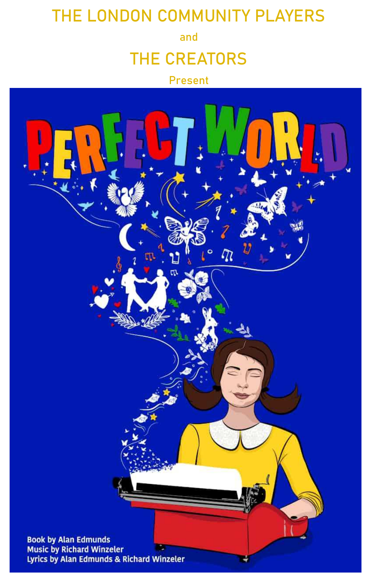## **THE LONDON COMMUNITY PLAYERS**

**and** 

## **THE CREATORS**

#### **Present**

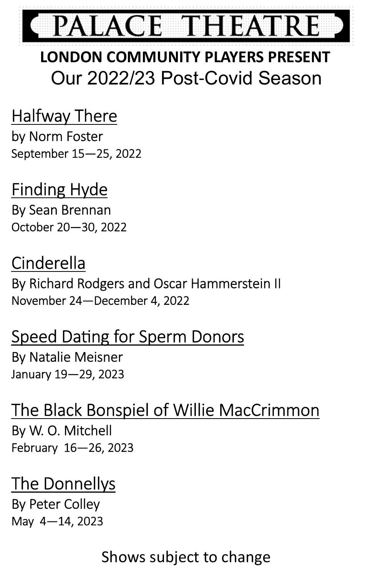

## **LONDON COMMUNITY PLAYERS PRESENT**  Our 2022/23 Post-Covid Season

## Halfway There

by Norm Foster September 15—25, 2022

## Finding Hyde

By Sean Brennan October 20—30, 2022

## Cinderella

By Richard Rodgers and Oscar Hammerstein II November 24—December 4, 2022

## Speed Dating for Sperm Donors

By Natalie Meisner January 19—29, 2023

## The Black Bonspiel of Willie MacCrimmon By W. O. Mitchell February 16—26, 2023

## The Donnellys

By Peter Colley May 4—14, 2023

## Shows subject to change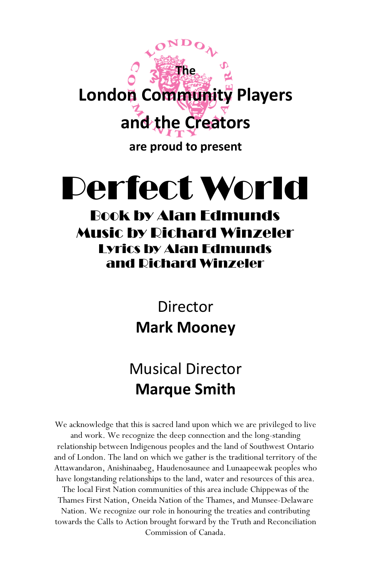

# Perfect World

#### Book by Alan Edmunds Music by Richard Winzeler Lyrics by Alan Edmunds and Richard Winzeler

## Director **Mark Mooney**

## Musical Director **Marque Smith**

We acknowledge that this is sacred land upon which we are privileged to live and work. We recognize the deep connection and the long-standing relationship between Indigenous peoples and the land of Southwest Ontario and of London. The land on which we gather is the traditional territory of the Attawandaron, Anishinaabeg, Haudenosaunee and Lunaapeewak peoples who have longstanding relationships to the land, water and resources of this area. The local First Nation communities of this area include Chippewas of the Thames First Nation, Oneida Nation of the Thames, and Munsee-Delaware Nation. We recognize our role in honouring the treaties and contributing towards the Calls to Action brought forward by the Truth and Reconciliation Commission of Canada.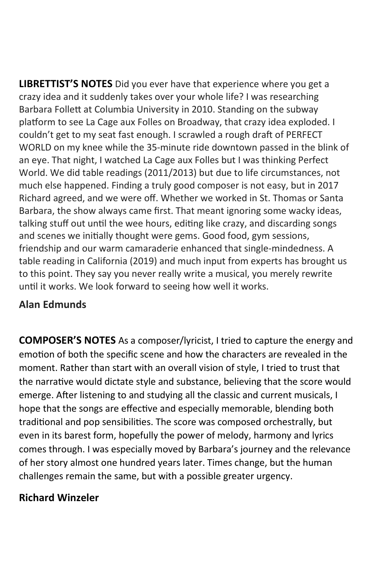**LIBRETTIST'S NOTES** Did you ever have that experience where you get a crazy idea and it suddenly takes over your whole life? I was researching Barbara Follett at Columbia University in 2010. Standing on the subway platform to see La Cage aux Folles on Broadway, that crazy idea exploded. I couldn't get to my seat fast enough. I scrawled a rough draft of PERFECT WORLD on my knee while the 35-minute ride downtown passed in the blink of an eye. That night, I watched La Cage aux Folles but I was thinking Perfect World. We did table readings (2011/2013) but due to life circumstances, not much else happened. Finding a truly good composer is not easy, but in 2017 Richard agreed, and we were off. Whether we worked in St. Thomas or Santa Barbara, the show always came first. That meant ignoring some wacky ideas, talking stuff out until the wee hours, editing like crazy, and discarding songs and scenes we initially thought were gems. Good food, gym sessions, friendship and our warm camaraderie enhanced that single-mindedness. A table reading in California (2019) and much input from experts has brought us to this point. They say you never really write a musical, you merely rewrite until it works. We look forward to seeing how well it works.

#### **Alan Edmunds**

**COMPOSER'S NOTES** As a composer/lyricist, I tried to capture the energy and emotion of both the specific scene and how the characters are revealed in the moment. Rather than start with an overall vision of style, I tried to trust that the narrative would dictate style and substance, believing that the score would emerge. After listening to and studying all the classic and current musicals, I hope that the songs are effective and especially memorable, blending both traditional and pop sensibilities. The score was composed orchestrally, but even in its barest form, hopefully the power of melody, harmony and lyrics comes through. I was especially moved by Barbara's journey and the relevance of her story almost one hundred years later. Times change, but the human challenges remain the same, but with a possible greater urgency.

#### **Richard Winzeler**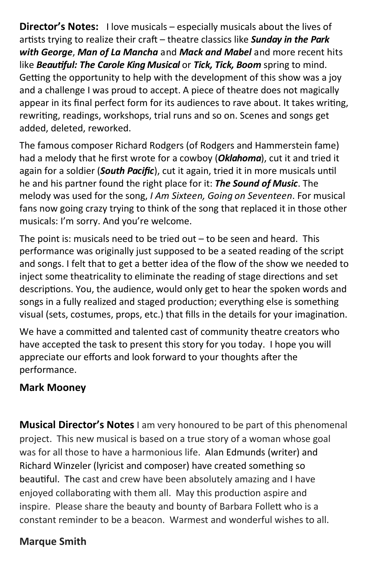**Director's Notes:** I love musicals – especially musicals about the lives of artists trying to realize their craft – theatre classics like **Sunday in the Park** *with George*, *Man of La Mancha* and *Mack and Mabel* and more recent hits like *Beauful: The Carole King Musical* or *Tick, Tick, Boom* spring to mind. Getting the opportunity to help with the development of this show was a joy and a challenge I was proud to accept. A piece of theatre does not magically appear in its final perfect form for its audiences to rave about. It takes writing, rewriting, readings, workshops, trial runs and so on. Scenes and songs get added, deleted, reworked.

The famous composer Richard Rodgers (of Rodgers and Hammerstein fame) had a melody that he first wrote for a cowboy (*Oklahoma*), cut it and tried it again for a soldier (**South Pacific**), cut it again, tried it in more musicals until he and his partner found the right place for it: *The Sound of Music*. The melody was used for the song, *I Am Sixteen, Going on Seventeen*. For musical fans now going crazy trying to think of the song that replaced it in those other musicals: I'm sorry. And you're welcome.

The point is: musicals need to be tried out – to be seen and heard. This performance was originally just supposed to be a seated reading of the script and songs. I felt that to get a better idea of the flow of the show we needed to inject some theatricality to eliminate the reading of stage directions and set descriptions. You, the audience, would only get to hear the spoken words and songs in a fully realized and staged production; everything else is something visual (sets, costumes, props, etc.) that fills in the details for your imagination.

We have a committed and talented cast of community theatre creators who have accepted the task to present this story for you today. I hope you will appreciate our efforts and look forward to your thoughts after the performance.

#### **Mark Mooney**

**Musical Director's Notes** I am very honoured to be part of this phenomenal project. This new musical is based on a true story of a woman whose goal was for all those to have a harmonious life. Alan Edmunds (writer) and Richard Winzeler (lyricist and composer) have created something so beautiful. The cast and crew have been absolutely amazing and I have enjoyed collaborating with them all. May this production aspire and inspire. Please share the beauty and bounty of Barbara Follett who is a constant reminder to be a beacon. Warmest and wonderful wishes to all.

#### **Marque Smith**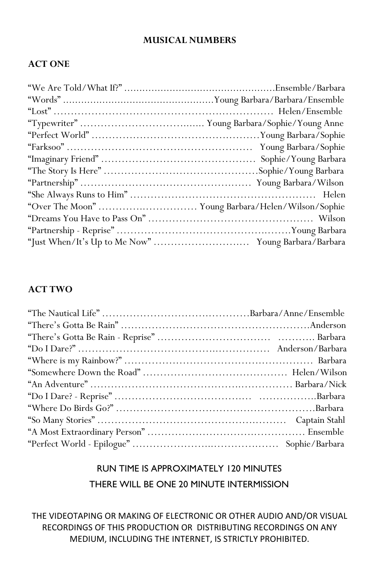#### **MUSICAL NUMBERS**

#### **ACT ONE**

#### **ACT TWO**

#### RUN TIME IS APPROXIMATELY 120 MINUTES THERE WILL BE ONE 20 MINUTE INTERMISSION

THE VIDEOTAPING OR MAKING OF ELECTRONIC OR OTHER AUDIO AND/OR VISUAL RECORDINGS OF THIS PRODUCTION OR DISTRIBUTING RECORDINGS ON ANY MEDIUM, INCLUDING THE INTERNET, IS STRICTLY PROHIBITED.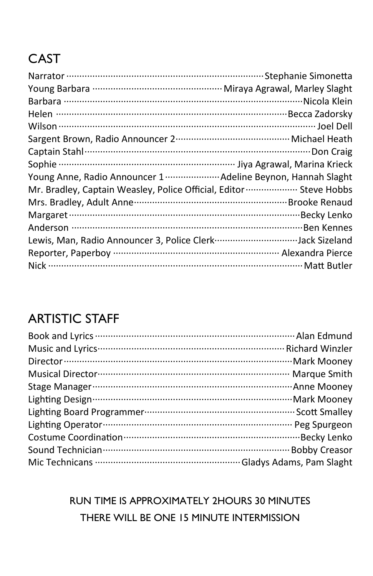## CAST

| Young Anne, Radio Announcer 1 ························· Adeline Beynon, Hannah Slaght |  |
|---------------------------------------------------------------------------------------|--|
| Mr. Bradley, Captain Weasley, Police Official, Editor  Steve Hobbs                    |  |
|                                                                                       |  |
|                                                                                       |  |
|                                                                                       |  |
| Lewis, Man, Radio Announcer 3, Police Clerk Jack Sizeland                             |  |
|                                                                                       |  |
|                                                                                       |  |

### ARTISTIC STAFF

RUN TIME IS APPROXIMATELY 2HOURS 30 MINUTES THERE WILL BE ONE 15 MINUTE INTERMISSION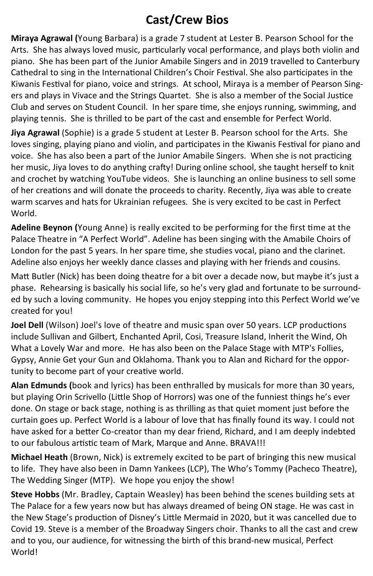#### **Cast/Crew Bios**

**Miraya Agrawal (**Young Barbara) is a grade 7 student at Lester B. Pearson School for the Arts. She has always loved music, particularly vocal performance, and plays both violin and piano. She has been part of the Junior Amabile Singers and in 2019 travelled to Canterbury Cathedral to sing in the International Children's Choir Festival. She also participates in the Kiwanis Festival for piano, voice and strings. At school, Miraya is a member of Pearson Singers and plays in Vivace and the Strings Quartet. She is also a member of the Social Justice Club and serves on Student Council. In her spare time, she enjoys running, swimming, and playing tennis. She is thrilled to be part of the cast and ensemble for Perfect World.

**Jiya Agrawal** (Sophie) is a grade 5 student at Lester B. Pearson school for the Arts. She loves singing, playing piano and violin, and participates in the Kiwanis Festival for piano and voice. She has also been a part of the Junior Amabile Singers. When she is not practicing her music, Jiya loves to do anything crafty! During online school, she taught herself to knit and crochet by watching YouTube videos. She is launching an online business to sell some of her creations and will donate the proceeds to charity. Recently, Jiya was able to create warm scarves and hats for Ukrainian refugees. She is very excited to be cast in Perfect World.

Adeline Beynon (Young Anne) is really excited to be performing for the first time at the Palace Theatre in "A Perfect World". Adeline has been singing with the Amabile Choirs of London for the past 5 years. In her spare time, she studies vocal, piano and the clarinet. Adeline also enjoys her weekly dance classes and playing with her friends and cousins.

Matt Butler (Nick) has been doing theatre for a bit over a decade now, but maybe it's just a phase. Rehearsing is basically his social life, so he's very glad and fortunate to be surrounded by such a loving community. He hopes you enjoy stepping into this Perfect World we've created for you!

**Joel Dell** (Wilson) Joel's love of theatre and music span over 50 years. LCP productions include Sullivan and Gilbert, Enchanted April, Cosi, Treasure Island, Inherit the Wind, Oh What a Lovely War and more. He has also been on the Palace Stage with MTP's Follies, Gypsy, Annie Get your Gun and Oklahoma. Thank you to Alan and Richard for the opportunity to become part of your creative world.

**Alan Edmunds (**book and lyrics) has been enthralled by musicals for more than 30 years, but playing Orin Scrivello (Little Shop of Horrors) was one of the funniest things he's ever done. On stage or back stage, nothing is as thrilling as that quiet moment just before the curtain goes up. Perfect World is a labour of love that has finally found its way. I could not have asked for a better Co-creator than my dear friend, Richard, and I am deeply indebted to our fabulous artistic team of Mark, Marque and Anne. BRAVA!!!

**Michael Heath** (Brown, Nick) is extremely excited to be part of bringing this new musical to life. They have also been in Damn Yankees (LCP), The Who's Tommy (Pacheco Theatre), The Wedding Singer (MTP). We hope you enjoy the show!

**Steve Hobbs** (Mr. Bradley, Captain Weasley) has been behind the scenes building sets at The Palace for a few years now but has always dreamed of being ON stage. He was cast in the New Stage's production of Disney's Little Mermaid in 2020, but it was cancelled due to Covid 19. Steve is a member of the Broadway Singers choir. Thanks to all the cast and crew and to you, our audience, for witnessing the birth of this brand-new musical, Perfect World!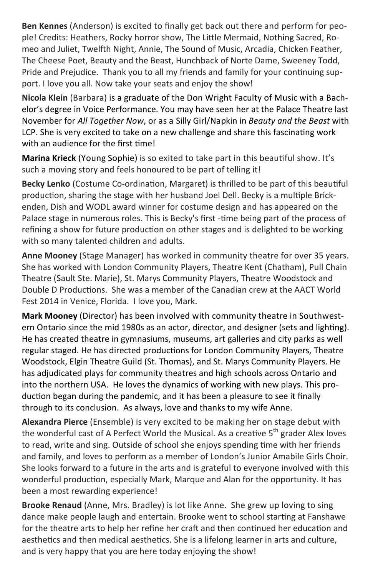**Ben Kennes** (Anderson) is excited to finally get back out there and perform for people! Credits: Heathers, Rocky horror show, The Little Mermaid, Nothing Sacred, Romeo and Juliet, Twelfth Night, Annie, The Sound of Music, Arcadia, Chicken Feather, The Cheese Poet, Beauty and the Beast, Hunchback of Norte Dame, Sweeney Todd, Pride and Prejudice. Thank you to all my friends and family for your continuing support. I love you all. Now take your seats and enjoy the show!

**Nicola Klein** (Barbara) is a graduate of the Don Wright Faculty of Music with a Bachelor's degree in Voice Performance. You may have seen her at the Palace Theatre last November for *All Together Now*, or as a Silly Girl/Napkin in *Beauty and the Beast* with LCP. She is very excited to take on a new challenge and share this fascinating work with an audience for the first time!

**Marina Krieck** (Young Sophie) is so exited to take part in this beautiful show. It's such a moving story and feels honoured to be part of telling it!

Becky Lenko (Costume Co-ordination, Margaret) is thrilled to be part of this beautiful production, sharing the stage with her husband Joel Dell. Becky is a multiple Brickenden, Dish and WODL award winner for costume design and has appeared on the Palace stage in numerous roles. This is Becky's first -time being part of the process of refining a show for future production on other stages and is delighted to be working with so many talented children and adults.

**Anne Mooney** (Stage Manager) has worked in community theatre for over 35 years. She has worked with London Community Players, Theatre Kent (Chatham), Pull Chain Theatre (Sault Ste. Marie), St. Marys Community Players, Theatre Woodstock and Double D Productions. She was a member of the Canadian crew at the AACT World Fest 2014 in Venice, Florida. I love you, Mark.

**Mark Mooney** (Director) has been involved with community theatre in Southwestern Ontario since the mid 1980s as an actor, director, and designer (sets and lighting). He has created theatre in gymnasiums, museums, art galleries and city parks as well regular staged. He has directed productions for London Community Players, Theatre Woodstock, Elgin Theatre Guild (St. Thomas), and St. Marys Community Players. He has adjudicated plays for community theatres and high schools across Ontario and into the northern USA. He loves the dynamics of working with new plays. This production began during the pandemic, and it has been a pleasure to see it finally through to its conclusion. As always, love and thanks to my wife Anne.

**Alexandra Pierce** (Ensemble) is very excited to be making her on stage debut with the wonderful cast of A Perfect World the Musical. As a creative  $5<sup>th</sup>$  grader Alex loves to read, write and sing. Outside of school she enjoys spending time with her friends and family, and loves to perform as a member of London's Junior Amabile Girls Choir. She looks forward to a future in the arts and is grateful to everyone involved with this wonderful production, especially Mark, Marque and Alan for the opportunity. It has been a most rewarding experience!

**Brooke Renaud** (Anne, Mrs. Bradley) is lot like Anne. She grew up loving to sing dance make people laugh and entertain. Brooke went to school starting at Fanshawe for the theatre arts to help her refine her craft and then continued her education and aesthetics and then medical aesthetics. She is a lifelong learner in arts and culture, and is very happy that you are here today enjoying the show!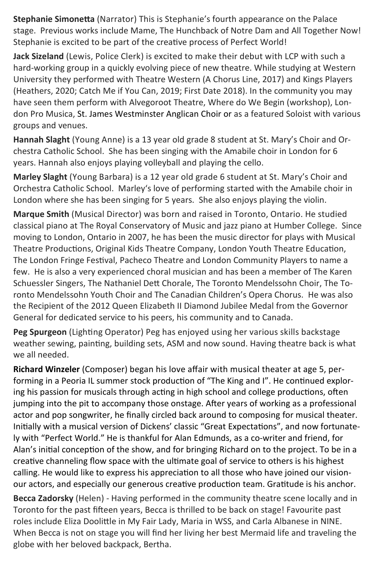**Stephanie Simonetta** (Narrator) This is Stephanie's fourth appearance on the Palace stage. Previous works include Mame, The Hunchback of Notre Dam and All Together Now! Stephanie is excited to be part of the creative process of Perfect World!

**Jack Sizeland** (Lewis, Police Clerk) is excited to make their debut with LCP with such a hard-working group in a quickly evolving piece of new theatre. While studying at Western University they performed with Theatre Western (A Chorus Line, 2017) and Kings Players (Heathers, 2020; Catch Me if You Can, 2019; First Date 2018). In the community you may have seen them perform with Alvegoroot Theatre, Where do We Begin (workshop), London Pro Musica, St. James Westminster Anglican Choir or as a featured Soloist with various groups and venues.

**Hannah Slaght** (Young Anne) is a 13 year old grade 8 student at St. Mary's Choir and Orchestra Catholic School. She has been singing with the Amabile choir in London for 6 years. Hannah also enjoys playing volleyball and playing the cello.

**Marley Slaght** (Young Barbara) is a 12 year old grade 6 student at St. Mary's Choir and Orchestra Catholic School. Marley's love of performing started with the Amabile choir in London where she has been singing for 5 years. She also enjoys playing the violin.

**Marque Smith** (Musical Director) was born and raised in Toronto, Ontario. He studied classical piano at The Royal Conservatory of Music and jazz piano at Humber College. Since moving to London, Ontario in 2007, he has been the music director for plays with Musical Theatre Productions, Original Kids Theatre Company, London Youth Theatre Education, The London Fringe Festival, Pacheco Theatre and London Community Players to name a few. He is also a very experienced choral musician and has been a member of The Karen Schuessler Singers, The Nathaniel Dett Chorale, The Toronto Mendelssohn Choir, The Toronto Mendelssohn Youth Choir and The Canadian Children's Opera Chorus. He was also the Recipient of the 2012 Queen Elizabeth II Diamond Jubilee Medal from the Governor General for dedicated service to his peers, his community and to Canada.

Peg Spurgeon (Lighting Operator) Peg has enjoyed using her various skills backstage weather sewing, painting, building sets, ASM and now sound. Having theatre back is what we all needed.

**Richard Winzeler** (Composer) began his love affair with musical theater at age 5, performing in a Peoria IL summer stock production of "The King and I". He continued exploring his passion for musicals through acting in high school and college productions, often jumping into the pit to accompany those onstage. After years of working as a professional actor and pop songwriter, he finally circled back around to composing for musical theater. Initially with a musical version of Dickens' classic "Great Expectations", and now fortunately with "Perfect World." He is thankful for Alan Edmunds, as a co-writer and friend, for Alan's initial conception of the show, and for bringing Richard on to the project. To be in a creative channeling flow space with the ultimate goal of service to others is his highest calling. He would like to express his appreciation to all those who have joined our visionour actors, and especially our generous creative production team. Gratitude is his anchor.

**Becca Zadorsky** (Helen) - Having performed in the community theatre scene locally and in Toronto for the past fifteen years, Becca is thrilled to be back on stage! Favourite past roles include Eliza Doolittle in My Fair Lady, Maria in WSS, and Carla Albanese in NINE. When Becca is not on stage you will find her living her best Mermaid life and traveling the globe with her beloved backpack, Bertha.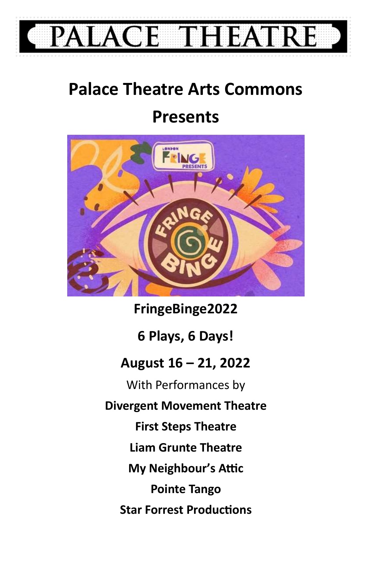

# **Palace Theatre Arts Commons**

## **Presents**



**FringeBinge2022 6 Plays, 6 Days! August 16 – 21, 2022**  With Performances by **Divergent Movement Theatre First Steps Theatre Liam Grunte Theatre My Neighbour's Attic Pointe Tango Star Forrest Productions**